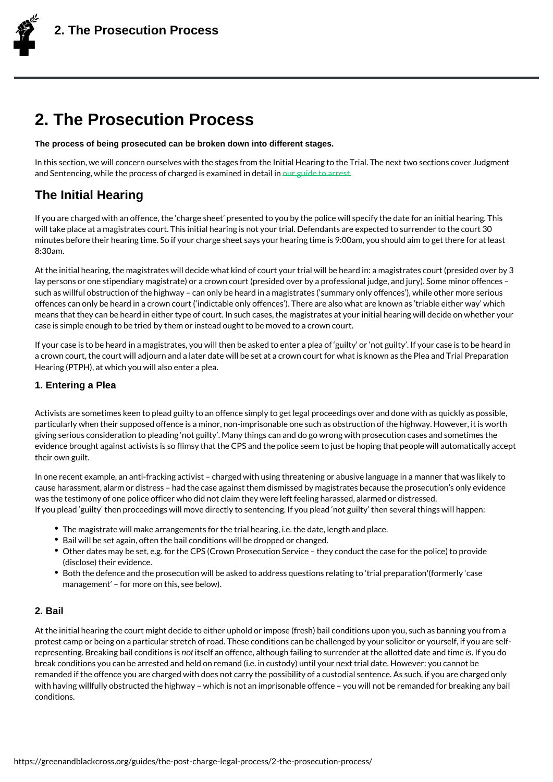# 2. The Prosecution Process

The process of being prosecuted can be broken down into different stages.

In this section, we will concern ourselves with the stages from the Initial Hearing to the and Sentencing, while the process of charguerd gis idea atminence in detail in

### The Initial Hearing

If you are charged with an offence, the [charge shee](https://greenandblackcross.org/guides/ive-been-arrested/)t presented to you by the police wil will take place at a magistrates court. This initial hearing is not your trial. Defendants a minutes before their hearing time. So if your charge sheet says your hearing time is 9:00 8:30am.

At the initial hearing, the magistrates will decide what kind of court your trial will be hea lay persons or one stipendiary magistrate) or a crown court (presided over by a professio such as willful obstruction of the highway can only be heard in a magistrates ( summary offences can only be heard in a crown court ( indictable only offences ). There are also what means that they can be heard in either type of court. In such cases, the magistrates at y case is simple enough to be tried by them or instead ought to be moved to a crown court.

If your case is to be heard in a magistrates, you will then be asked to enter a plea of gu a crown court, the court will adjourn and a later date will be set at a crown court for wha Hearing (PTPH), at which you will also enter a plea.

#### 1. Entering a Plea

Activists are sometimes keen to plead guilty to an offence simply to get legal proceeding particularly when their supposed offence is a minor, non-imprisonable one such as obstru giving serious consideration to pleading not guilty . Many things can and do go wrong wi evidence brought against activists is so flimsy that the CPS and the police seem to just I their own guilt.

In one recent example, an anti-fracking activist charged with using threatening or abus cause harassment, alarm or distress had the case against them dismissed by magistrate was the testimony of one police officer who did not claim they were left feeling harassed If you plead guilty then proceedings will move directly to sentencing. If you plead not

- $\bullet$  The magistrate will make arrangements for the trial hearing, i.e. the date, length an
- Bail will be set again, often the bail conditions will be dropped or changed.
- $\bullet$  Other dates may be set, e.g. for the CPS (Crown Prosecution Service they conduct (disclose) their evidence.
- Both the defence and the prosecution will be asked to address questions relating to management for more on this, see below).

#### 2. Bail

At the initial hearing the court might decide to either uphold or impose (fresh) bail condi protest camp or being on a particular stretch of road. These conditions can be challenged representing. Breaking braotli**cs** enlditainon nosffiesnce, although failing to surrendi**s** r aft ythe alblotted break conditions you can be arrested and held on remand (i.e. in custody) until your next remanded if the offence you are charged with does not carry the possibility of a custodia with having willfully obstructed the highway which is not an imprisonable offence you conditions.